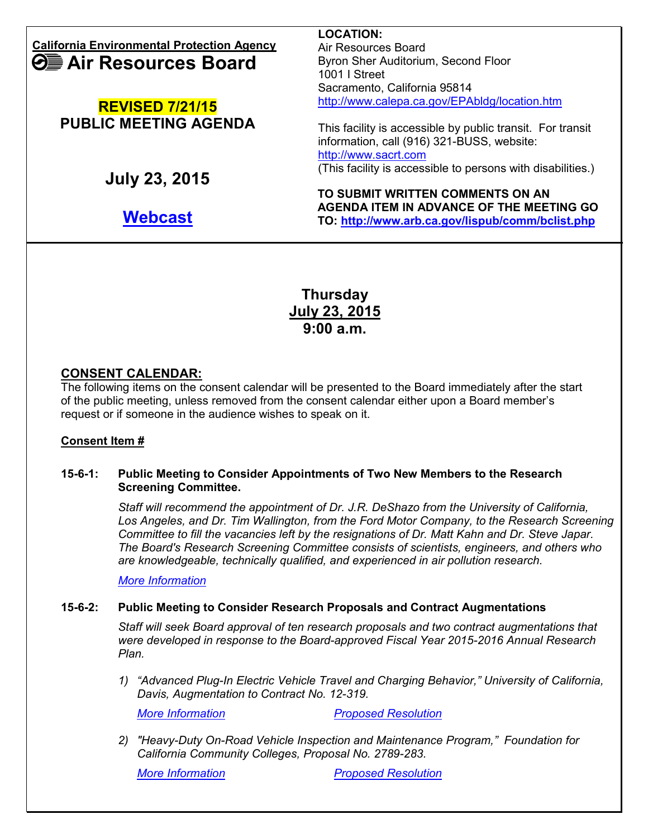|                                                   | <b>LOCATION:</b>                                                                                         |
|---------------------------------------------------|----------------------------------------------------------------------------------------------------------|
| <b>California Environmental Protection Agency</b> | Air Resources Board                                                                                      |
| <b>Θ</b> E Air Resources Board                    | Byron Sher Auditorium, Second Floor                                                                      |
|                                                   | 1001   Street                                                                                            |
|                                                   | Sacramento, California 95814                                                                             |
| <b>REVISED 7/21/15</b>                            | http://www.calepa.ca.gov/EPAbldg/location.htm                                                            |
| <b>PUBLIC MEETING AGENDA</b>                      | This facility is accessible by public transit. For transit<br>information, call (916) 321-BUSS, website: |
|                                                   | http://www.sacrt.com                                                                                     |
| <b>July 23, 2015</b>                              | (This facility is accessible to persons with disabilities.)                                              |
|                                                   | TO SUBMIT WRITTEN COMMENTS ON AN                                                                         |
| Webcast                                           | AGENDA ITEM IN ADVANCE OF THE MEETING GO<br>TO: http://www.arb.ca.gov/lispub/comm/bclist.php             |

**Thursday July 23, 2015 9:00 a.m.**

### **CONSENT CALENDAR:**

The following items on the consent calendar will be presented to the Board immediately after the start of the public meeting, unless removed from the consent calendar either upon a Board member's request or if someone in the audience wishes to speak on it.

#### **Consent Item #**

#### **15-6-1: Public Meeting to Consider Appointments of Two New Members to the Research Screening Committee.**

*Staff will recommend the appointment of Dr. J.R. DeShazo from the University of California, Los Angeles, and Dr. Tim Wallington, from the Ford Motor Company, to the Research Screening Committee to fill the vacancies left by the resignations of Dr. Matt Kahn and Dr. Steve Japar. The Board's Research Screening Committee consists of scientists, engineers, and others who are knowledgeable, technically qualified, and experienced in air pollution research.*

*[More Information](http://www.arb.ca.gov/research/rsc/rsc.htm)*

## **15-6-2: Public Meeting to Consider Research Proposals and Contract Augmentations**

*Staff will seek Board approval of ten research proposals and two contract augmentations that were developed in response to the Board-approved Fiscal Year 2015-2016 Annual Research Plan.*

*1) "Advanced Plug-In Electric Vehicle Travel and Charging Behavior," University of California, Davis, Augmentation to Contract No. 12-319.*

*[More Information](http://www.arb.ca.gov/research/apr/apr.htm) [Proposed Resolution](http://www.arb.ca.gov/board/books/2015/072315/prores1524.pdf)*

*2) "Heavy-Duty On-Road Vehicle Inspection and Maintenance Program," Foundation for California Community Colleges, Proposal No. 2789-283.*

*[More Information](http://www.arb.ca.gov/research/apr/apr.htm) [Proposed Resolution](http://www.arb.ca.gov/board/books/2015/072315/prores1525.pdf)*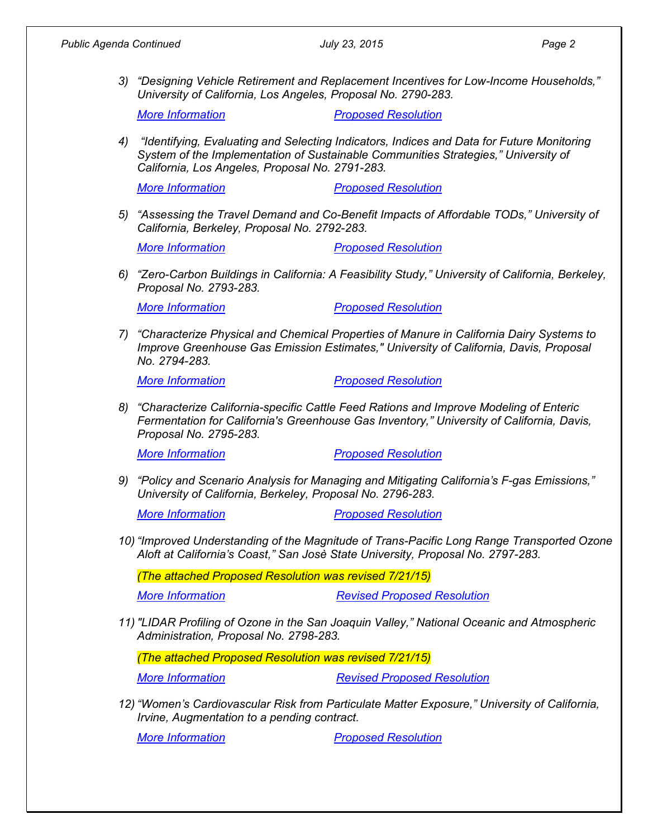- 
- *3) "Designing Vehicle Retirement and Replacement Incentives for Low-Income Households," University of California, Los Angeles, Proposal No. 2790-283.*

*[More Information](http://www.arb.ca.gov/research/apr/apr.htm) [Proposed Resolution](http://www.arb.ca.gov/board/books/2015/072315/prores1526.pdf)*

*4) "Identifying, Evaluating and Selecting Indicators, Indices and Data for Future Monitoring System of the Implementation of Sustainable Communities Strategies," University of California, Los Angeles, Proposal No. 2791-283.*

*[More Information](http://www.arb.ca.gov/research/apr/apr.htm) [Proposed Resolution](http://www.arb.ca.gov/board/books/2015/072315/prores1527.pdf)*

*5) "Assessing the Travel Demand and Co-Benefit Impacts of Affordable TODs," University of California, Berkeley, Proposal No. 2792-283.*

*[More Information](http://www.arb.ca.gov/research/apr/apr.htm) [Proposed Resolution](http://www.arb.ca.gov/board/books/2015/072315/prores1528.pdf)*

*6) "Zero-Carbon Buildings in California: A Feasibility Study," University of California, Berkeley, Proposal No. 2793-283.*

*[More Information](http://www.arb.ca.gov/research/apr/apr.htm) [Proposed Resolution](http://www.arb.ca.gov/board/books/2015/072315/prores1529.pdf)*

*7) "Characterize Physical and Chemical Properties of Manure in California Dairy Systems to Improve Greenhouse Gas Emission Estimates," University of California, Davis, Proposal No. 2794-283.*

*[More Information](http://www.arb.ca.gov/research/apr/apr.htm) [Proposed Resolution](http://www.arb.ca.gov/board/books/2015/072315/prores1530.pdf)*

*8) "Characterize California-specific Cattle Feed Rations and Improve Modeling of Enteric Fermentation for California's Greenhouse Gas Inventory," University of California, Davis, Proposal No. 2795-283.*

*[More Information](http://www.arb.ca.gov/research/apr/apr.htm) [Proposed Resolution](http://www.arb.ca.gov/board/books/2015/072315/prores1531.pdf)*

*9) "Policy and Scenario Analysis for Managing and Mitigating California's F-gas Emissions," University of California, Berkeley, Proposal No. 2796-283.*

*[More Information](http://www.arb.ca.gov/research/apr/apr.htm) [Proposed Resolution](http://www.arb.ca.gov/board/books/2015/072315/prores1532.pdf)*

*10) "Improved Understanding of the Magnitude of Trans-Pacific Long Range Transported Ozone Aloft at California's Coast," San Josè State University, Proposal No. 2797-283.*

*(The attached Proposed Resolution was revised 7/21/15)*

*[More Information](http://www.arb.ca.gov/research/apr/apr.htm) [Revised Proposed Resolution](http://www.arb.ca.gov/board/books/2015/072315/prores1533.pdf)*

*11) "LIDAR Profiling of Ozone in the San Joaquin Valley," National Oceanic and Atmospheric Administration, Proposal No. 2798-283.* 

*(The attached Proposed Resolution was revised 7/21/15)*

*[More Information](http://www.arb.ca.gov/research/apr/apr.htm) [Revised Proposed Resolution](http://www.arb.ca.gov/board/books/2015/072315/prores1534.pdf)*

*12) "Women's Cardiovascular Risk from Particulate Matter Exposure," University of California, Irvine, Augmentation to a pending contract.*

*[More Information](http://www.arb.ca.gov/research/apr/apr.htm) [Proposed Resolution](http://www.arb.ca.gov/board/books/2015/072315/prores1535.pdf)*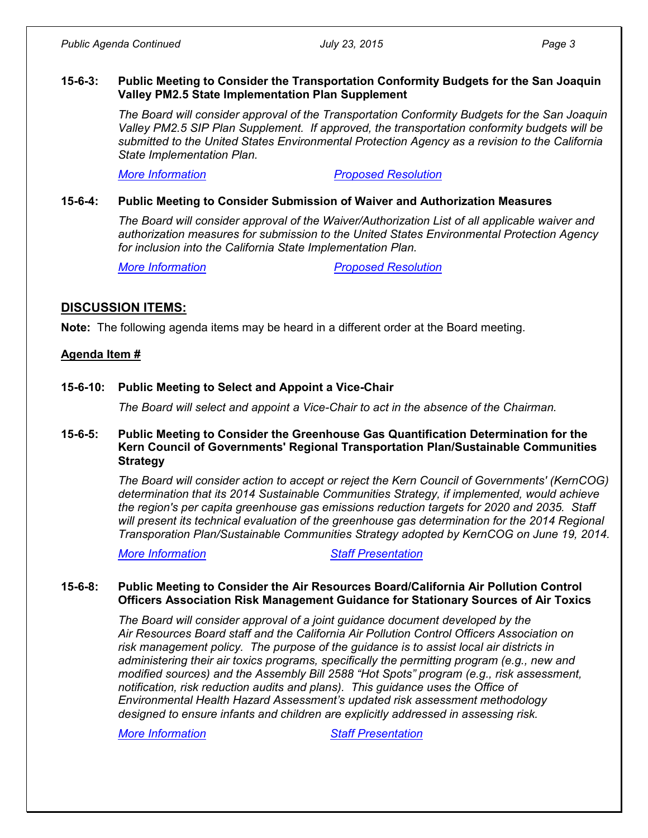#### **15-6-3: Public Meeting to Consider the Transportation Conformity Budgets for the San Joaquin Valley PM2.5 State Implementation Plan Supplement**

*The Board will consider approval of the Transportation Conformity Budgets for the San Joaquin Valley PM2.5 SIP Plan Supplement. If approved, the transportation conformity budgets will be submitted to the United States Environmental Protection Agency as a revision to the California State Implementation Plan.*

*[More Information](http://www.arb.ca.gov/planning/sip/planarea/sanjqnvllysip.htm) [Proposed Resolution](http://www.arb.ca.gov/board/books/2015/072315/prores1539.pdf)*

## **15-6-4: Public Meeting to Consider Submission of Waiver and Authorization Measures**

*The Board will consider approval of the Waiver/Authorization List of all applicable waiver and authorization measures for submission to the United States Environmental Protection Agency for inclusion into the California State Implementation Plan.*

*[More Information](http://www.arb.ca.gov/planning/sip/sip.htm) [Proposed Resolution](http://www.arb.ca.gov/board/books/2015/072315/prores1540.pdf)*

# **DISCUSSION ITEMS:**

**Note:** The following agenda items may be heard in a different order at the Board meeting.

# **Agenda Item #**

# **15-6-10: Public Meeting to Select and Appoint a Vice-Chair**

*The Board will select and appoint a Vice-Chair to act in the absence of the Chairman.*

### **15-6-5: Public Meeting to Consider the Greenhouse Gas Quantification Determination for the Kern Council of Governments' Regional Transportation Plan/Sustainable Communities Strategy**

*The Board will consider action to accept or reject the Kern Council of Governments' (KernCOG) determination that its 2014 Sustainable Communities Strategy, if implemented, would achieve the region's per capita greenhouse gas emissions reduction targets for 2020 and 2035. Staff will present its technical evaluation of the greenhouse gas determination for the 2014 Regional Transporation Plan/Sustainable Communities Strategy adopted by KernCOG on June 19, 2014.*

*[More Information](http://www.arb.ca.gov/cc/sb375/sb375.htm) [Staff Presentation](http://www.arb.ca.gov/board/books/2015/072315/15-6-5pres.pdf)*

### **15-6-8: Public Meeting to Consider the Air Resources Board/California Air Pollution Control Officers Association Risk Management Guidance for Stationary Sources of Air Toxics**

*The Board will consider approval of a joint guidance document developed by the Air Resources Board staff and the California Air Pollution Control Officers Association on risk management policy. The purpose of the guidance is to assist local air districts in administering their air toxics programs, specifically the permitting program (e.g., new and modified sources) and the Assembly Bill 2588 "Hot Spots" program (e.g., risk assessment, notification, risk reduction audits and plans). This guidance uses the Office of Environmental Health Hazard Assessment's updated risk assessment methodology designed to ensure infants and children are explicitly addressed in assessing risk.* 

*[More Information](http://www.arb.ca.gov/toxics/rma/rmaguideline.htm) [Staff Presentation](http://www.arb.ca.gov/board/books/2015/072315/15-6-8pres.pdf)*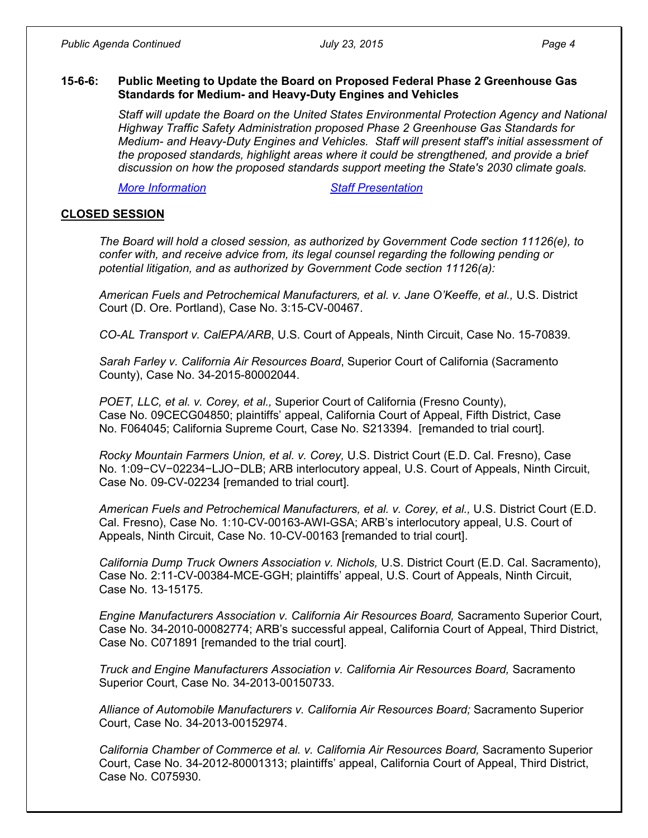#### **15-6-6: Public Meeting to Update the Board on Proposed Federal Phase 2 Greenhouse Gas Standards for Medium- and Heavy-Duty Engines and Vehicles**

*Staff will update the Board on the United States Environmental Protection Agency and National Highway Traffic Safety Administration proposed Phase 2 Greenhouse Gas Standards for Medium- and Heavy-Duty Engines and Vehicles. Staff will present staff's initial assessment of the proposed standards, highlight areas where it could be strengthened, and provide a brief discussion on how the proposed standards support meeting the State's 2030 climate goals.*

*[More Information](http://www.arb.ca.gov/msprog/onroad/caphase2ghg/caphase2ghg.htm) [Staff Presentation](http://www.arb.ca.gov/board/books/2015/072315/15-6-6pres.pdf)*

# **CLOSED SESSION**

*The Board will hold a closed session, as authorized by Government Code section 11126(e), to confer with, and receive advice from, its legal counsel regarding the following pending or potential litigation, and as authorized by Government Code section 11126(a):* 

*American Fuels and Petrochemical Manufacturers, et al. v. Jane O'Keeffe, et al.,* U.S. District Court (D. Ore. Portland), Case No. 3:15-CV-00467.

*CO-AL Transport v. CalEPA/ARB*, U.S. Court of Appeals, Ninth Circuit, Case No. 15-70839.

*Sarah Farley v. California Air Resources Board*, Superior Court of California (Sacramento County), Case No. 34-2015-80002044.

*POET, LLC, et al. v. Corey, et al.,* Superior Court of California (Fresno County), Case No. 09CECG04850; plaintiffs' appeal, California Court of Appeal, Fifth District, Case No. F064045; California Supreme Court, Case No. S213394. [remanded to trial court].

*Rocky Mountain Farmers Union, et al. v. Corey,* U.S. District Court (E.D. Cal. Fresno), Case No. 1:09−CV−02234−LJO−DLB; ARB interlocutory appeal, U.S. Court of Appeals, Ninth Circuit, Case No. 09-CV-02234 [remanded to trial court].

*American Fuels and Petrochemical Manufacturers, et al. v. Corey, et al.,* U.S. District Court (E.D. Cal. Fresno), Case No. 1:10-CV-00163-AWI-GSA; ARB's interlocutory appeal, U.S. Court of Appeals, Ninth Circuit, Case No. 10-CV-00163 [remanded to trial court].

*California Dump Truck Owners Association v. Nichols,* U.S. District Court (E.D. Cal. Sacramento), Case No. 2:11-CV-00384-MCE-GGH; plaintiffs' appeal, U.S. Court of Appeals, Ninth Circuit, Case No. 13-15175.

*Engine Manufacturers Association v. California Air Resources Board,* Sacramento Superior Court, Case No. 34-2010-00082774; ARB's successful appeal, California Court of Appeal, Third District, Case No. C071891 [remanded to the trial court].

*Truck and Engine Manufacturers Association v. California Air Resources Board,* Sacramento Superior Court, Case No. 34-2013-00150733.

*Alliance of Automobile Manufacturers v. California Air Resources Board;* Sacramento Superior Court, Case No. 34-2013-00152974.

*California Chamber of Commerce et al. v. California Air Resources Board,* Sacramento Superior Court, Case No. 34-2012-80001313; plaintiffs' appeal, California Court of Appeal, Third District, Case No. C075930.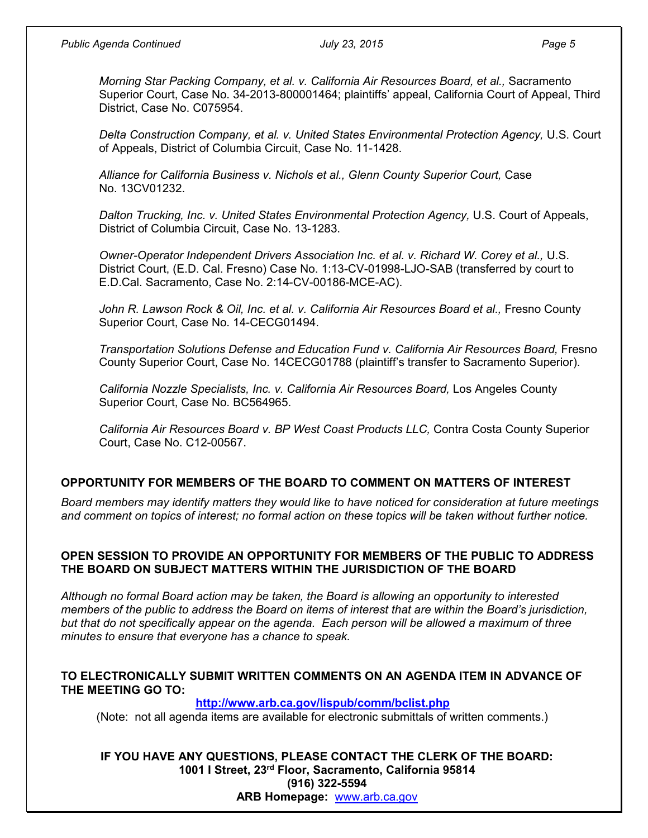*Morning Star Packing Company, et al. v. California Air Resources Board, et al.,* Sacramento Superior Court, Case No. 34-2013-800001464; plaintiffs' appeal, California Court of Appeal, Third District, Case No. C075954.

*Delta Construction Company, et al. v. United States Environmental Protection Agency,* U.S. Court of Appeals, District of Columbia Circuit, Case No. 11-1428.

Alliance for California Business v. Nichols et al., Glenn County Superior Court, Case No. 13CV01232.

*Dalton Trucking, Inc. v. United States Environmental Protection Agency,* U.S. Court of Appeals, District of Columbia Circuit, Case No. 13-1283.

*Owner-Operator Independent Drivers Association Inc. et al. v. Richard W. Corey et al., U.S.* District Court, (E.D. Cal. Fresno) Case No. 1:13-CV-01998-LJO-SAB (transferred by court to E.D.Cal. Sacramento, Case No. 2:14-CV-00186-MCE-AC).

John R. Lawson Rock & Oil, Inc. et al. v. California Air Resources Board et al., Fresno County Superior Court, Case No. 14-CECG01494.

*Transportation Solutions Defense and Education Fund v. California Air Resources Board,* Fresno County Superior Court, Case No. 14CECG01788 (plaintiff's transfer to Sacramento Superior).

California Nozzle Specialists, Inc. v. California Air Resources Board, Los Angeles County Superior Court, Case No. BC564965.

*California Air Resources Board v. BP West Coast Products LLC,* Contra Costa County Superior Court, Case No. C12-00567.

## **OPPORTUNITY FOR MEMBERS OF THE BOARD TO COMMENT ON MATTERS OF INTEREST**

*Board members may identify matters they would like to have noticed for consideration at future meetings and comment on topics of interest; no formal action on these topics will be taken without further notice.*

### **OPEN SESSION TO PROVIDE AN OPPORTUNITY FOR MEMBERS OF THE PUBLIC TO ADDRESS THE BOARD ON SUBJECT MATTERS WITHIN THE JURISDICTION OF THE BOARD**

*Although no formal Board action may be taken, the Board is allowing an opportunity to interested members of the public to address the Board on items of interest that are within the Board's jurisdiction, but that do not specifically appear on the agenda. Each person will be allowed a maximum of three minutes to ensure that everyone has a chance to speak.*

#### **TO ELECTRONICALLY SUBMIT WRITTEN COMMENTS ON AN AGENDA ITEM IN ADVANCE OF THE MEETING GO TO:**

**<http://www.arb.ca.gov/lispub/comm/bclist.php>**

(Note: not all agenda items are available for electronic submittals of written comments.)

# **IF YOU HAVE ANY QUESTIONS, PLEASE CONTACT THE CLERK OF THE BOARD: 1001 I Street, 23rd Floor, Sacramento, California 95814 (916) 322-5594**

**ARB Homepage:** [www.arb.ca.gov](http://www.arb.ca.gov/)